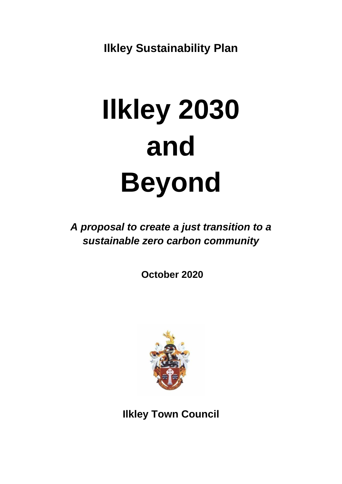**Ilkley Sustainability Plan**

# **Ilkley 2030 and Beyond**

*A proposal to create a just transition to a sustainable zero carbon community*

**October 2020**



**Ilkley Town Council**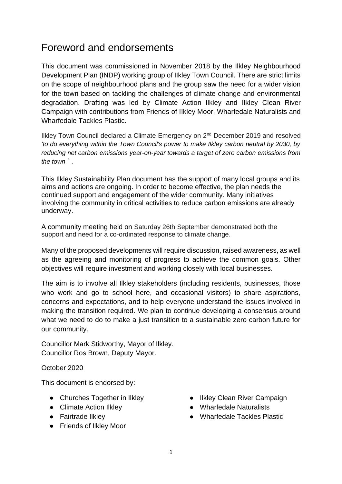# Foreword and endorsements

This document was commissioned in November 2018 by the Ilkley Neighbourhood Development Plan (INDP) working group of IIkley Town Council. There are strict limits on the scope of neighbourhood plans and the group saw the need for a wider vision for the town based on tackling the challenges of climate change and environmental degradation. Drafting was led by Climate Action Ilkley and IlkIey Clean River Campaign with contributions from Friends of IIkley Moor, Wharfedale Naturalists and Wharfedale Tackles Plastic.

Ilkley Town Council declared a Climate Emergency on 2<sup>nd</sup> December 2019 and resolved *'to do everything within the Town Council's power to make Ilkley carbon neutral by 2030, by reducing net carbon emissions year-on-year towards a target of zero carbon emissions from the town*'*.*

This Ilkley Sustainability Plan document has the support of many local groups and its aims and actions are ongoing. In order to become effective, the plan needs the continued support and engagement of the wider community. Many initiatives involving the community in critical activities to reduce carbon emissions are already underway.

A community meeting held on Saturday 26th September demonstrated both the support and need for a co-ordinated response to climate change.

Many of the proposed developments will require discussion, raised awareness, as well as the agreeing and monitoring of progress to achieve the common goals. Other objectives will require investment and working closely with local businesses.

The aim is to involve all Ilkley stakeholders (including residents, businesses, those who work and go to school here, and occasional visitors) to share aspirations, concerns and expectations, and to help everyone understand the issues involved in making the transition required. We plan to continue developing a consensus around what we need to do to make a just transition to a sustainable zero carbon future for our community.

Councillor Mark Stidworthy, Mayor of Ilkley. Councillor Ros Brown, Deputy Mayor.

October 2020

This document is endorsed by:

- Churches Together in Ilkley
- Climate Action Ilkley
- Fairtrade Ilkley
- [Friends of Ilkley Moor](about:blank)
- [Ilkley Clean River Campaign](https://sites.google.com/view/cleanwharfeilkley/home)
- [Wharfedale Naturalists](http://www.wharfedale-nats.org.uk/)
- [Wharfedale Tackles Plastic](https://en-gb.facebook.com/WharfedaleTP/)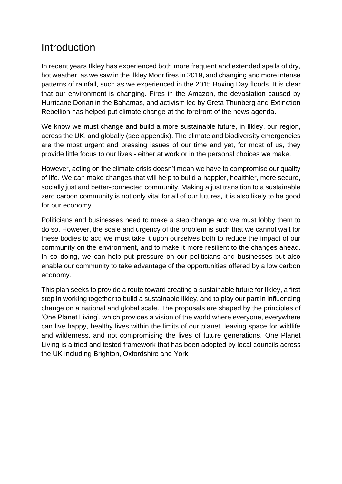# Introduction

In recent years Ilkley has experienced both more frequent and extended spells of dry, hot weather, as we saw in the Ilkley Moor fires in 2019, and changing and more intense patterns of rainfall, such as we experienced in the 2015 Boxing Day floods. It is clear that our environment is changing. Fires in the Amazon, the devastation caused by Hurricane Dorian in the Bahamas, and activism led by Greta Thunberg and Extinction Rebellion has helped put climate change at the forefront of the news agenda.

We know we must change and build a more sustainable future, in Ilkley, our region, across the UK, and globally (see appendix). The climate and biodiversity emergencies are the most urgent and pressing issues of our time and yet, for most of us, they provide little focus to our lives - either at work or in the personal choices we make.

However, acting on the climate crisis doesn't mean we have to compromise our quality of life. We can make changes that will help to build a happier, healthier, more secure, socially just and better-connected community. Making a just transition to a sustainable zero carbon community is not only vital for all of our futures, it is also likely to be good for our economy.

Politicians and businesses need to make a step change and we must lobby them to do so. However, the scale and urgency of the problem is such that we cannot wait for these bodies to act; we must take it upon ourselves both to reduce the impact of our community on the environment, and to make it more resilient to the changes ahead. In so doing, we can help put pressure on our politicians and businesses but also enable our community to take advantage of the opportunities offered by a low carbon economy.

This plan seeks to provide a route toward creating a sustainable future for Ilkley, a first step in working together to build a sustainable Ilkley, and to play our part in influencing change on a national and global scale. The proposals are shaped by the principles of 'One Planet Living', which provides a vision of the world where everyone, everywhere can live happy, healthy lives within the limits of our planet, leaving space for wildlife and wilderness, and not compromising the lives of future generations. One Planet Living is a tried and tested framework that has been adopted by local councils across the UK including Brighton, Oxfordshire and York.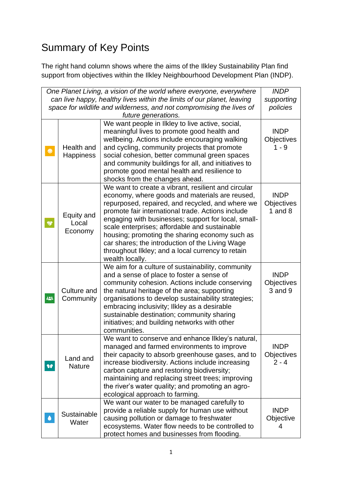# Summary of Key Points

The right hand column shows where the aims of the Ilkley Sustainability Plan find support from objectives within the Ilkley Neighbourhood Development Plan (INDP).

| One Planet Living, a vision of the world where everyone, everywhere<br>can live happy, healthy lives within the limits of our planet, leaving<br>space for wildlife and wilderness, and not compromising the lives of | <b>INDP</b><br>supporting<br>policies |                                                                                                                                                                                                                                                                                                                                                                                                                                                                                                     |                                          |
|-----------------------------------------------------------------------------------------------------------------------------------------------------------------------------------------------------------------------|---------------------------------------|-----------------------------------------------------------------------------------------------------------------------------------------------------------------------------------------------------------------------------------------------------------------------------------------------------------------------------------------------------------------------------------------------------------------------------------------------------------------------------------------------------|------------------------------------------|
| $\bullet$                                                                                                                                                                                                             | Health and<br>Happiness               | future generations.<br>We want people in Ilkley to live active, social,<br>meaningful lives to promote good health and<br>wellbeing. Actions include encouraging walking<br>and cycling, community projects that promote<br>social cohesion, better communal green spaces<br>and community buildings for all, and initiatives to<br>promote good mental health and resilience to<br>shocks from the changes ahead.                                                                                  | <b>INDP</b><br>Objectives<br>$1 - 9$     |
| ❤                                                                                                                                                                                                                     | Equity and<br>Local<br>Economy        | We want to create a vibrant, resilient and circular<br>economy, where goods and materials are reused,<br>repurposed, repaired, and recycled, and where we<br>promote fair international trade. Actions include<br>engaging with businesses; support for local, small-<br>scale enterprises; affordable and sustainable<br>housing; promoting the sharing economy such as<br>car shares; the introduction of the Living Wage<br>throughout likley; and a local currency to retain<br>wealth locally. | <b>INDP</b><br>Objectives<br>1 and $8$   |
| $\frac{123}{125}$                                                                                                                                                                                                     | Culture and<br>Community              | We aim for a culture of sustainability, community<br>and a sense of place to foster a sense of<br>community cohesion. Actions include conserving<br>the natural heritage of the area; supporting<br>organisations to develop sustainability strategies;<br>embracing inclusivity; Ilkley as a desirable<br>sustainable destination; community sharing<br>initiatives; and building networks with other<br>communities.                                                                              | <b>INDP</b><br>Objectives<br>$3$ and $9$ |
| <b>SIP</b>                                                                                                                                                                                                            | Land and<br><b>Nature</b>             | We want to conserve and enhance likley's natural,<br>managed and farmed environments to improve<br>their capacity to absorb greenhouse gases, and to<br>increase biodiversity. Actions include increasing<br>carbon capture and restoring biodiversity;<br>maintaining and replacing street trees; improving<br>the river's water quality; and promoting an agro-<br>ecological approach to farming.                                                                                                | <b>INDP</b><br>Objectives<br>$2 - 4$     |
|                                                                                                                                                                                                                       | Sustainable<br>Water                  | We want our water to be managed carefully to<br>provide a reliable supply for human use without<br>causing pollution or damage to freshwater<br>ecosystems. Water flow needs to be controlled to<br>protect homes and businesses from flooding.                                                                                                                                                                                                                                                     | <b>INDP</b><br>Objective<br>4            |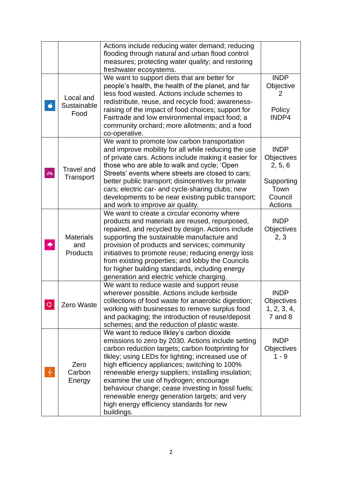|                     |                                            | Actions include reducing water demand; reducing<br>flooding through natural and urban flood control<br>measures; protecting water quality; and restoring<br>freshwater ecosystems.                                                                                                                                                                                                                                                                                                                                          |                                                                                  |
|---------------------|--------------------------------------------|-----------------------------------------------------------------------------------------------------------------------------------------------------------------------------------------------------------------------------------------------------------------------------------------------------------------------------------------------------------------------------------------------------------------------------------------------------------------------------------------------------------------------------|----------------------------------------------------------------------------------|
| Ö                   | Local and<br>Sustainable<br>Food           | We want to support diets that are better for<br>people's health, the health of the planet, and far<br>less food wasted. Actions include schemes to<br>redistribute, reuse, and recycle food; awareness-<br>raising of the impact of food choices; support for<br>Fairtrade and low environmental impact food; a<br>community orchard; more allotments; and a food<br>co-operative.                                                                                                                                          | <b>INDP</b><br>Objective<br>Policy<br>INDP4                                      |
| $\bar{\mathcal{O}}$ | <b>Travel and</b><br>Transport             | We want to promote low carbon transportation<br>and improve mobility for all while reducing the use<br>of private cars. Actions include making it easier for<br>those who are able to walk and cycle; 'Open<br>Streets' events where streets are closed to cars;<br>better public transport; disincentives for private<br>cars; electric car- and cycle-sharing clubs; new<br>developments to be near existing public transport;<br>and work to improve air quality.                                                        | <b>INDP</b><br>Objectives<br>2, 5, 6<br>Supporting<br>Town<br>Council<br>Actions |
|                     | <b>Materials</b><br>and<br><b>Products</b> | We want to create a circular economy where<br>products and materials are reused, repurposed,<br>repaired, and recycled by design. Actions include<br>supporting the sustainable manufacture and<br>provision of products and services; community<br>initiatives to promote reuse; reducing energy loss<br>from existing properties; and lobby the Councils<br>for higher building standards, including energy<br>generation and electric vehicle charging.                                                                  | <b>INDP</b><br>Objectives<br>2, 3                                                |
| $\circ$             | Zero Waste                                 | We want to reduce waste and support reuse<br>wherever possible. Actions include kerbside<br>collections of food waste for anaerobic digestion;<br>working with businesses to remove surplus food<br>and packaging; the introduction of reuse/deposit<br>schemes; and the reduction of plastic waste.                                                                                                                                                                                                                        | <b>INDP</b><br>Objectives<br>1, 2, 3, 4,<br>$7$ and $8$                          |
| 奉                   | Zero<br>Carbon<br>Energy                   | We want to reduce likley's carbon dioxide<br>emissions to zero by 2030. Actions include setting<br>carbon reduction targets; carbon footprinting for<br>Ilkley; using LEDs for lighting; increased use of<br>high efficiency appliances; switching to 100%<br>renewable energy suppliers; installing insulation;<br>examine the use of hydrogen; encourage<br>behaviour change; cease investing in fossil fuels;<br>renewable energy generation targets; and very<br>high energy efficiency standards for new<br>buildings. | <b>INDP</b><br><b>Objectives</b><br>$1 - 9$                                      |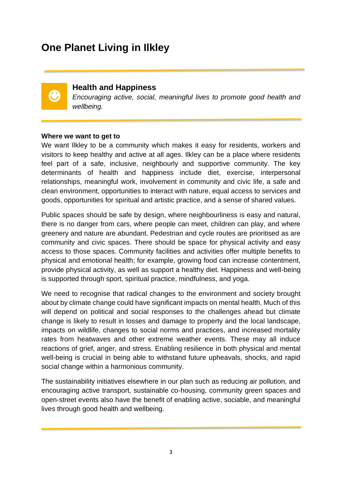# **One Planet Living in Ilkley**



## **Health and Happiness**

*Encouraging active, social, meaningful lives to promote good health and wellbeing.*

#### **Where we want to get to**

We want Ilkley to be a community which makes it easy for residents, workers and visitors to keep healthy and active at all ages. Ilkley can be a place where residents feel part of a safe, inclusive, neighbourly and supportive community. The key determinants of health and happiness include diet, exercise, interpersonal relationships, meaningful work, involvement in community and civic life, a safe and clean environment, opportunities to interact with nature, equal access to services and goods, opportunities for spiritual and artistic practice, and a sense of shared values.

Public spaces should be safe by design, where neighbourliness is easy and natural, there is no danger from cars, where people can meet, children can play, and where greenery and nature are abundant. Pedestrian and cycle routes are prioritised as are community and civic spaces. There should be space for physical activity and easy access to those spaces. Community facilities and activities offer multiple benefits to physical and emotional health; for example, growing food can increase contentment, provide physical activity, as well as support a healthy diet. Happiness and well-being is supported through sport, spiritual practice, mindfulness, and yoga.

We need to recognise that radical changes to the environment and society brought about by climate change could have significant impacts on mental health. Much of this will depend on political and social responses to the challenges ahead but climate change is likely to result in losses and damage to property and the local landscape, impacts on wildlife, changes to social norms and practices, and increased mortality rates from heatwaves and other extreme weather events. These may all induce reactions of grief, anger, and stress. Enabling resilience in both physical and mental well-being is crucial in being able to withstand future upheavals, shocks, and rapid social change within a harmonious community.

The sustainability initiatives elsewhere in our plan such as reducing air pollution, and encouraging active transport, sustainable co-housing, community green spaces and open-street events also have the benefit of enabling active, sociable, and meaningful lives through good health and wellbeing.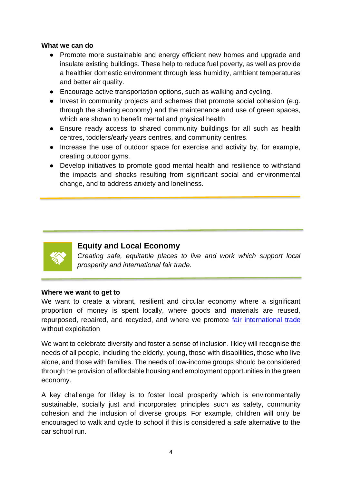#### **What we can do**

- Promote more sustainable and energy efficient new homes and upgrade and insulate existing buildings. These help to reduce fuel poverty, as well as provide a healthier domestic environment through less humidity, ambient temperatures and better air quality.
- Encourage active transportation options, such as walking and cycling.
- Invest in community projects and schemes that promote social cohesion (e.g. through the sharing economy) and the maintenance and use of green spaces, which are shown to benefit mental and physical health.
- Ensure ready access to shared community buildings for all such as health centres, toddlers/early years centres, and community centres.
- Increase the use of outdoor space for exercise and activity by, for example, creating outdoor gyms.
- Develop initiatives to promote good mental health and resilience to withstand the impacts and shocks resulting from significant social and environmental change, and to address anxiety and loneliness.



# **Equity and Local Economy**

*Creating safe, equitable places to live and work which support local prosperity and international fair trade.*

#### **Where we want to get to**

We want to create a vibrant, resilient and circular economy where a significant proportion of money is spent locally, where goods and materials are reused, repurposed, repaired, and recycled, and where we promote [fair international trade](http://www.fairtrade.org.uk/) without exploitation

We want to celebrate diversity and foster a sense of inclusion. Ilkley will recognise the needs of all people, including the elderly, young, those with disabilities, those who live alone, and those with families. The needs of low-income groups should be considered through the provision of affordable housing and employment opportunities in the green economy.

A key challenge for Ilkley is to foster local prosperity which is environmentally sustainable, socially just and incorporates principles such as safety, community cohesion and the inclusion of diverse groups. For example, children will only be encouraged to walk and cycle to school if this is considered a safe alternative to the car school run.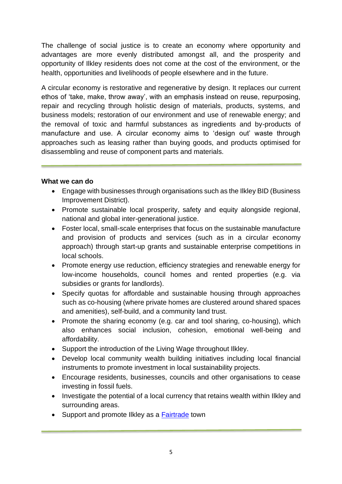The challenge of social justice is to create an economy where opportunity and advantages are more evenly distributed amongst all, and the prosperity and opportunity of Ilkley residents does not come at the cost of the environment, or the health, opportunities and livelihoods of people elsewhere and in the future.

A circular economy is restorative and regenerative by design. It replaces our current ethos of 'take, make, throw away', with an emphasis instead on reuse, repurposing, repair and recycling through holistic design of materials, products, systems, and business models; restoration of our environment and use of renewable energy; and the removal of toxic and harmful substances as ingredients and by-products of manufacture and use. A circular economy aims to 'design out' waste through approaches such as leasing rather than buying goods, and products optimised for disassembling and reuse of component parts and materials.

- Engage with businesses through organisations such as the Ilkley BID (Business Improvement District).
- Promote sustainable local prosperity, safety and equity alongside regional, national and global inter-generational justice.
- Foster local, small-scale enterprises that focus on the sustainable manufacture and provision of products and services (such as in a circular economy approach) through start-up grants and sustainable enterprise competitions in local schools.
- Promote energy use reduction, efficiency strategies and renewable energy for low-income households, council homes and rented properties (e.g. via subsidies or grants for landlords).
- Specify quotas for affordable and sustainable housing through approaches such as co-housing (where private homes are clustered around shared spaces and amenities), self-build, and a community land trust.
- Promote the sharing economy (e.g. car and tool sharing, co-housing), which also enhances social inclusion, cohesion, emotional well-being and affordability.
- Support the introduction of the Living Wage throughout Ilkley.
- Develop local community wealth building initiatives including local financial instruments to promote investment in local sustainability projects.
- Encourage residents, businesses, councils and other organisations to cease investing in fossil fuels.
- Investigate the potential of a local currency that retains wealth within Ilkley and surrounding areas.
- Support and promote likley as a **Fairtrade** town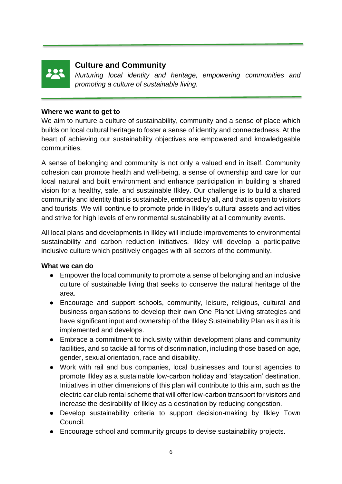

# **Culture and Community**

*Nurturing local identity and heritage, empowering communities and promoting a culture of sustainable living.*

#### **Where we want to get to**

We aim to nurture a culture of sustainability, community and a sense of place which builds on local cultural heritage to foster a sense of identity and connectedness. At the heart of achieving our sustainability objectives are empowered and knowledgeable communities.

A sense of belonging and community is not only a valued end in itself. Community cohesion can promote health and well-being, a sense of ownership and care for our local natural and built environment and enhance participation in building a shared vision for a healthy, safe, and sustainable Ilkley. Our challenge is to build a shared community and identity that is sustainable, embraced by all, and that is open to visitors and tourists. We will continue to promote pride in Ilkley's cultural assets and activities and strive for high levels of environmental sustainability at all community events.

All local plans and developments in Ilkley will include improvements to environmental sustainability and carbon reduction initiatives. Ilkley will develop a participative inclusive culture which positively engages with all sectors of the community.

- Empower the local community to promote a sense of belonging and an inclusive culture of sustainable living that seeks to conserve the natural heritage of the area.
- Encourage and support schools, community, leisure, religious, cultural and business organisations to develop their own One Planet Living strategies and have significant input and ownership of the Ilkley Sustainability Plan as it as it is implemented and develops.
- Embrace a commitment to inclusivity within development plans and community facilities, and so tackle all forms of discrimination, including those based on age, gender, sexual orientation, race and disability.
- Work with rail and bus companies, local businesses and tourist agencies to promote Ilkley as a sustainable low-carbon holiday and 'staycation' destination. Initiatives in other dimensions of this plan will contribute to this aim, such as the electric car club rental scheme that will offer low-carbon transport for visitors and increase the desirability of Ilkley as a destination by reducing congestion.
- Develop sustainability criteria to support decision-making by Ilkley Town Council.
- Encourage school and community groups to devise sustainability projects.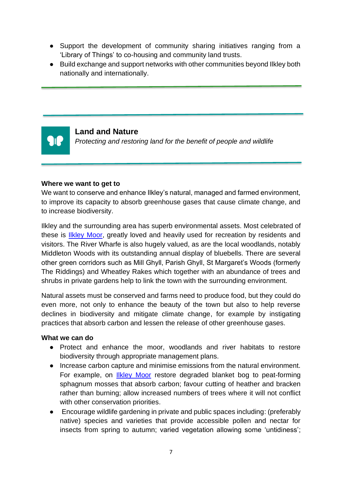- Support the development of community sharing initiatives ranging from a 'Library of Things' to co-housing and community land trusts.
- Build exchange and support networks with other communities beyond Ilkley both nationally and internationally.



#### **Land and Nature**

*Protecting and restoring land for the benefit of people and wildlife*

#### **Where we want to get to**

We want to conserve and enhance Ilkley's natural, managed and farmed environment, to improve its capacity to absorb greenhouse gases that cause climate change, and to increase biodiversity.

Ilkley and the surrounding area has superb environmental assets. Most celebrated of these is **IIkley Moor**, greatly loved and heavily used for recreation by residents and visitors. The River Wharfe is also hugely valued, as are the local woodlands, notably Middleton Woods with its outstanding annual display of bluebells. There are several other green corridors such as Mill Ghyll, Parish Ghyll, St Margaret's Woods (formerly The Riddings) and Wheatley Rakes which together with an abundance of trees and shrubs in private gardens help to link the town with the surrounding environment.

Natural assets must be conserved and farms need to produce food, but they could do even more, not only to enhance the beauty of the town but also to help reverse declines in biodiversity and mitigate climate change, for example by instigating practices that absorb carbon and lessen the release of other greenhouse gases.

- Protect and enhance the moor, woodlands and river habitats to restore biodiversity through appropriate management plans.
- Increase carbon capture and minimise emissions from the natural environment. For example, on [Ilkley Moor](https://bradford.moderngov.co.uk/documents/s16313/Env25JulyDocAapp1.pdf) restore degraded blanket bog to peat-forming sphagnum mosses that absorb carbon; favour cutting of heather and bracken rather than burning; allow increased numbers of trees where it will not conflict with other conservation priorities.
- Encourage wildlife gardening in private and public spaces including: (preferably native) species and varieties that provide accessible pollen and nectar for insects from spring to autumn; varied vegetation allowing some 'untidiness';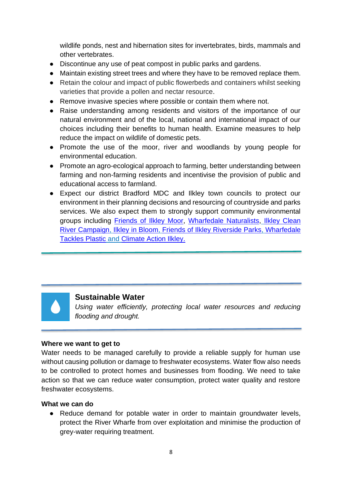wildlife ponds, nest and hibernation sites for invertebrates, birds, mammals and other vertebrates.

- Discontinue any use of peat compost in public parks and gardens.
- Maintain existing street trees and where they have to be removed replace them.
- Retain the colour and impact of public flowerbeds and containers whilst seeking varieties that provide a pollen and nectar resource.
- Remove invasive species where possible or contain them where not.
- Raise understanding among residents and visitors of the importance of our natural environment and of the local, national and international impact of our choices including their benefits to human health. Examine measures to help reduce the impact on wildlife of domestic pets.
- Promote the use of the moor, river and woodlands by young people for environmental education.
- Promote an agro-ecological approach to farming, better understanding between farming and non-farming residents and incentivise the provision of public and educational access to farmland.
- Expect our district Bradford MDC and Ilkley town councils to protect our environment in their planning decisions and resourcing of countryside and parks services. We also expect them to strongly support community environmental groups including [Friends of Ilkley Moor,](https://www.ilkleymoor.org/) [Wharfedale Naturalists,](http://www.wharfedale-nats.org.uk/) [Ilkley Clean](https://sites.google.com/view/cleanwharfeilkley/home)  [River Campaign,](https://sites.google.com/view/cleanwharfeilkley/home) [Ilkley in Bloom,](http://ilkley.org/clubs-and-orgs/153-ilkley-in-bloom.html) [Friends of Ilkley Riverside Parks,](https://www.facebook.com/groups/2283440388535237/) [Wharfedale](https://www.facebook.com/WharfedaleTP/)  [Tackles Plastic](https://www.facebook.com/WharfedaleTP/) and [Climate Action Ilkley.](https://climateactionilkley.org/)



# **Sustainable Water**

*Using water efficiently, protecting local water resources and reducing flooding and drought.*

## **Where we want to get to**

Water needs to be managed carefully to provide a reliable supply for human use without causing pollution or damage to freshwater ecosystems. Water flow also needs to be controlled to protect homes and businesses from flooding. We need to take action so that we can reduce water consumption, protect water quality and restore freshwater ecosystems.

## **What we can do**

● Reduce demand for potable water in order to maintain groundwater levels, protect the River Wharfe from over exploitation and minimise the production of grey-water requiring treatment.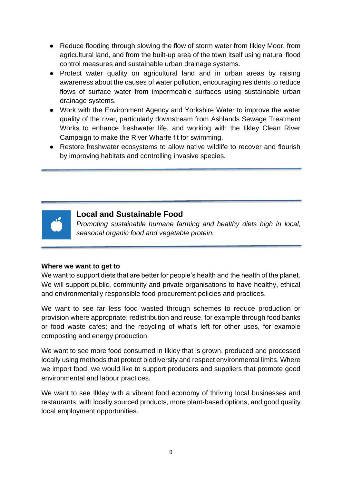- Reduce flooding through slowing the flow of storm water from Ilkley Moor, from agricultural land, and from the built-up area of the town itself using natural flood control measures and sustainable urban drainage systems.
- Protect water quality on agricultural land and in urban areas by raising awareness about the causes of water pollution, encouraging residents to reduce flows of surface water from impermeable surfaces using sustainable urban drainage systems.
- Work with the Environment Agency and Yorkshire Water to improve the water quality of the river, particularly downstream from Ashlands Sewage Treatment Works to enhance freshwater life, and working with the Ilkley Clean River Campaign to make the River Wharfe fit for swimming.
- Restore freshwater ecosystems to allow native wildlife to recover and flourish by improving habitats and controlling invasive species.



# **Local and Sustainable Food**

*Promoting sustainable humane farming and healthy diets high in local, seasonal organic food and vegetable protein.*

## **Where we want to get to**

We want to support diets that are better for people's health and the health of the planet. We will support public, community and private organisations to have healthy, ethical and environmentally responsible food procurement policies and practices.

We want to see far less food wasted through schemes to reduce production or provision where appropriate; redistribution and reuse, for example through food banks or food waste cafes; and the recycling of what's left for other uses, for example composting and energy production.

We want to see more food consumed in Ilkley that is grown, produced and processed locally using methods that protect biodiversity and respect environmental limits. Where we import food, we would like to support producers and suppliers that promote good environmental and labour practices.

We want to see Ilkley with a vibrant food economy of thriving local businesses and restaurants, with locally sourced products, more plant-based options, and good quality local employment opportunities.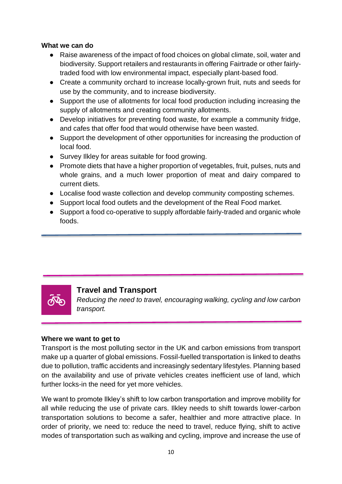#### **What we can do**

- Raise awareness of the impact of food choices on global climate, soil, water and biodiversity. Support retailers and restaurants in offering Fairtrade or other fairlytraded food with low environmental impact, especially plant-based food.
- Create a community orchard to increase locally-grown fruit, nuts and seeds for use by the community, and to increase biodiversity.
- Support the use of allotments for local food production including increasing the supply of allotments and creating community allotments.
- Develop initiatives for preventing food waste, for example a community fridge, and cafes that offer food that would otherwise have been wasted.
- Support the development of other opportunities for increasing the production of local food.
- Survey Ilkley for areas suitable for food growing.
- Promote diets that have a higher proportion of vegetables, fruit, pulses, nuts and whole grains, and a much lower proportion of meat and dairy compared to current diets.
- Localise food waste collection and develop community composting schemes.
- Support local food outlets and the development of the Real Food market.
- Support a food co-operative to supply affordable fairly-traded and organic whole foods.



# **Travel and Transport**

*Reducing the need to travel, encouraging walking, cycling and low carbon transport.*

#### **Where we want to get to**

Transport is the most polluting sector in the UK and carbon emissions from transport make up a quarter of global emissions. Fossil-fuelled transportation is linked to deaths due to pollution, traffic accidents and increasingly sedentary lifestyles. Planning based on the availability and use of private vehicles creates inefficient use of land, which further locks-in the need for yet more vehicles.

We want to promote Ilkley's shift to low carbon transportation and improve mobility for all while reducing the use of private cars. Ilkley needs to shift towards lower-carbon transportation solutions to become a safer, healthier and more attractive place. In order of priority, we need to: reduce the need to travel, reduce flying, shift to active modes of transportation such as walking and cycling, improve and increase the use of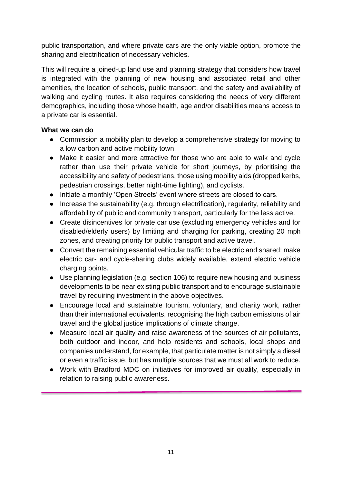public transportation, and where private cars are the only viable option, promote the sharing and electrification of necessary vehicles.

This will require a joined-up land use and planning strategy that considers how travel is integrated with the planning of new housing and associated retail and other amenities, the location of schools, public transport, and the safety and availability of walking and cycling routes. It also requires considering the needs of very different demographics, including those whose health, age and/or disabilities means access to a private car is essential.

- Commission a mobility plan to develop a comprehensive strategy for moving to a low carbon and active mobility town.
- Make it easier and more attractive for those who are able to walk and cycle rather than use their private vehicle for short journeys, by prioritising the accessibility and safety of pedestrians, those using mobility aids (dropped kerbs, pedestrian crossings, better night-time lighting), and cyclists.
- Initiate a monthly 'Open Streets' event where streets are closed to cars.
- Increase the sustainability (e.g. through electrification), regularity, reliability and affordability of public and community transport, particularly for the less active.
- Create disincentives for private car use (excluding emergency vehicles and for disabled/elderly users) by limiting and charging for parking, creating 20 mph zones, and creating priority for public transport and active travel.
- Convert the remaining essential vehicular traffic to be electric and shared: make electric car- and cycle-sharing clubs widely available, extend electric vehicle charging points.
- Use planning legislation (e.g. section 106) to require new housing and business developments to be near existing public transport and to encourage sustainable travel by requiring investment in the above objectives.
- Encourage local and sustainable tourism, voluntary, and charity work, rather than their international equivalents, recognising the high carbon emissions of air travel and the global justice implications of climate change.
- Measure local air quality and raise awareness of the sources of air pollutants, both outdoor and indoor, and help residents and schools, local shops and companies understand, for example, that particulate matter is not simply a diesel or even a traffic issue, but has multiple sources that we must all work to reduce.
- Work with Bradford MDC on initiatives for improved air quality, especially in relation to raising public awareness.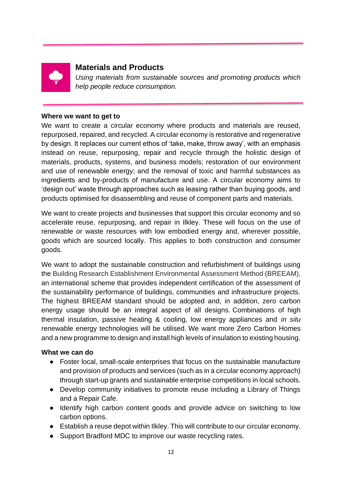

# **Materials and Products**

*Using materials from sustainable sources and promoting products which help people reduce consumption.*

#### **Where we want to get to**

We want to create a circular economy where products and materials are reused, repurposed, repaired, and recycled. A circular economy is restorative and regenerative by design. It replaces our current ethos of 'take, make, throw away', with an emphasis instead on reuse, repurposing, repair and recycle through the holistic design of materials, products, systems, and business models; restoration of our environment and use of renewable energy; and the removal of toxic and harmful substances as ingredients and by-products of manufacture and use. A circular economy aims to 'design out' waste through approaches such as leasing rather than buying goods, and products optimised for disassembling and reuse of component parts and materials.

We want to create projects and businesses that support this circular economy and so accelerate reuse, repurposing, and repair in Ilkley. These will focus on the use of renewable or waste resources with low embodied energy and, wherever possible, goods which are sourced locally. This applies to both construction and consumer goods.

We want to adopt the sustainable construction and refurbishment of buildings using the Building Research Establishment Environmental Assessment Method (BREEAM), an international scheme that provides independent certification of the assessment of the sustainability performance of buildings, communities and infrastructure projects. The highest BREEAM standard should be adopted and, in addition, zero carbon energy usage should be an integral aspect of all designs. Combinations of high thermal insulation, passive heating & cooling, low energy appliances and *in situ* renewable energy technologies will be utilised. We want more [Zero Carbon Homes](http://www.zerocarbonhub.org/zero-carbon-policy/zero-carbon-policy) and a new programme to design and install high levels of insulation to existing housing.

- Foster local, small-scale enterprises that focus on the sustainable manufacture and provision of products and services (such as in a circular economy approach) through start-up grants and sustainable enterprise competitions in local schools.
- Develop community initiatives to promote reuse including a Library of Things and a Repair Cafe.
- Identify high carbon content goods and provide advice on switching to low carbon options.
- Establish a reuse depot within Ilkley. This will contribute to our circular economy.
- Support Bradford MDC to improve our waste recycling rates.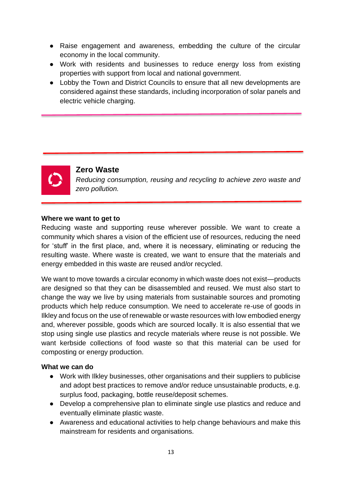- Raise engagement and awareness, embedding the culture of the circular economy in the local community.
- Work with residents and businesses to reduce energy loss from existing properties with support from local and national government.
- Lobby the Town and District Councils to ensure that all new developments are considered against these standards, including incorporation of solar panels and electric vehicle charging.



# **Zero Waste**

*Reducing consumption, reusing and recycling to achieve zero waste and zero pollution.*

#### **Where we want to get to**

Reducing waste and supporting reuse wherever possible. We want to create a community which shares a vision of the efficient use of resources, reducing the need for 'stuff' in the first place, and, where it is necessary, eliminating or reducing the resulting waste. Where waste is created, we want to ensure that the materials and energy embedded in this waste are reused and/or recycled.

We want to move towards a circular economy in which waste does not exist—products are designed so that they can be disassembled and reused. We must also start to change the way we live by using materials from sustainable sources and promoting products which help reduce consumption. We need to accelerate re-use of goods in Ilkley and focus on the use of renewable or waste resources with low embodied energy and, wherever possible, goods which are sourced locally. It is also essential that we stop using single use plastics and recycle materials where reuse is not possible. We want kerbside collections of food waste so that this material can be used for composting or energy production.

- Work with Ilkley businesses, other organisations and their suppliers to publicise and adopt best practices to remove and/or reduce unsustainable products, e.g. surplus food, packaging, bottle reuse/deposit schemes.
- Develop a comprehensive plan to eliminate single use plastics and reduce and eventually eliminate plastic waste.
- Awareness and educational activities to help change behaviours and make this mainstream for residents and organisations.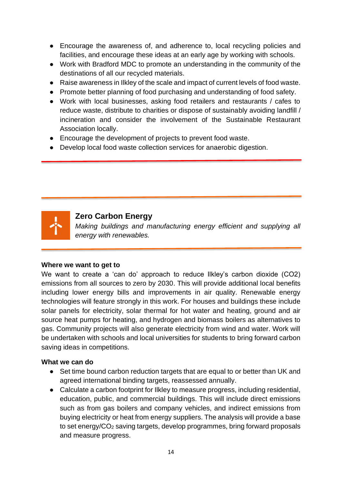- Encourage the awareness of, and adherence to, local recycling policies and facilities, and encourage these ideas at an early age by working with schools.
- Work with Bradford MDC to promote an understanding in the community of the destinations of all our recycled materials.
- Raise awareness in Ilkley of the scale and impact of current levels of food waste.
- Promote better planning of food purchasing and understanding of food safety.
- Work with local businesses, asking food retailers and restaurants / cafes to reduce waste, distribute to charities or dispose of sustainably avoiding landfill / incineration and consider the involvement of the Sustainable Restaurant Association locally.
- Encourage the development of projects to prevent food waste.
- Develop local food waste collection services for anaerobic digestion.



# **Zero Carbon Energy**

*Making buildings and manufacturing energy efficient and supplying all energy with renewables.*

## **Where we want to get to**

We want to create a 'can do' approach to reduce Ilkley's carbon dioxide (CO2) emissions from all sources to zero by 2030. This will provide additional local benefits including lower energy bills and improvements in air quality. Renewable energy technologies will feature strongly in this work. For houses and buildings these include solar panels for electricity, solar thermal for hot water and heating, ground and air source heat pumps for heating, and hydrogen and biomass boilers as alternatives to gas. Community projects will also generate electricity from wind and water. Work will be undertaken with schools and local universities for students to bring forward carbon saving ideas in competitions.

- Set time bound carbon reduction targets that are equal to or better than UK and agreed international binding targets, reassessed annually.
- Calculate a carbon footprint for Ilkley to measure progress, including residential, education, public, and commercial buildings. This will include direct emissions such as from gas boilers and company vehicles, and indirect emissions from buying electricity or heat from energy suppliers. The analysis will provide a base to set energy/CO<sup>2</sup> saving targets, develop programmes, bring forward proposals and measure progress.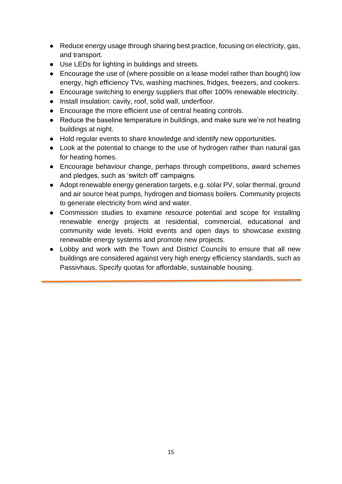- Reduce energy usage through sharing best practice, focusing on electricity, gas, and transport.
- Use LEDs for lighting in buildings and streets.
- Encourage the use of (where possible on a lease model rather than bought) low energy, high efficiency TVs, washing machines, fridges, freezers, and cookers.
- Encourage switching to energy suppliers that offer 100% renewable electricity.
- Install insulation: cavity, roof, solid wall, underfloor.
- Encourage the more efficient use of central heating controls.
- Reduce the baseline temperature in buildings, and make sure we're not heating buildings at night.
- Hold regular events to share knowledge and identify new opportunities.
- Look at the potential to change to the use of hydrogen rather than natural gas for heating homes.
- Encourage behaviour change, perhaps through competitions, award schemes and pledges, such as 'switch off' campaigns.
- Adopt renewable energy generation targets, e.g. solar PV, solar thermal, ground and air source heat pumps, hydrogen and biomass boilers. Community projects to generate electricity from wind and water.
- Commission studies to examine resource potential and scope for installing renewable energy projects at residential, commercial, educational and community wide levels. Hold events and open days to showcase existing renewable energy systems and promote new projects.
- Lobby and work with the Town and District Councils to ensure that all new buildings are considered against very high energy efficiency standards, such as Passivhaus. Specify quotas for affordable, sustainable housing.